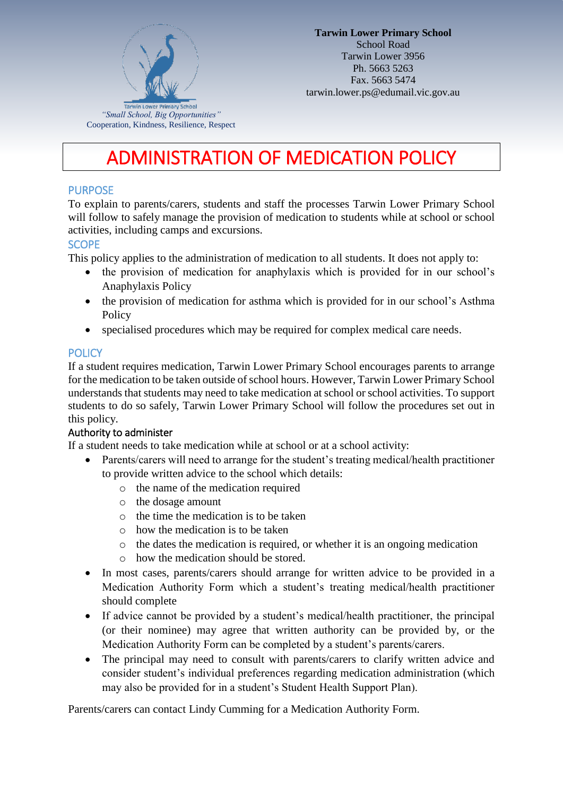

# ADMINISTRATION OF MEDICATION POLICY

### **PURPOSE**

To explain to parents/carers, students and staff the processes Tarwin Lower Primary School will follow to safely manage the provision of medication to students while at school or school activities, including camps and excursions.

### **SCOPE**

This policy applies to the administration of medication to all students. It does not apply to:

- the provision of medication for anaphylaxis which is provided for in our school's Anaphylaxis Policy
- the provision of medication for asthma which is provided for in our school's Asthma Policy
- specialised procedures which may be required for complex medical care needs.

#### **POLICY**

If a student requires medication, Tarwin Lower Primary School encourages parents to arrange for the medication to be taken outside of school hours. However, Tarwin Lower Primary School understands that students may need to take medication at school or school activities. To support students to do so safely, Tarwin Lower Primary School will follow the procedures set out in this policy.

#### Authority to administer

If a student needs to take medication while at school or at a school activity:

- Parents/carers will need to arrange for the student's treating medical/health practitioner to provide written advice to the school which details:
	- o the name of the medication required
	- o the dosage amount
	- o the time the medication is to be taken
	- o how the medication is to be taken
	- o the dates the medication is required, or whether it is an ongoing medication
	- o how the medication should be stored.
- In most cases, parents/carers should arrange for written advice to be provided in a Medication Authority Form which a student's treating medical/health practitioner should complete
- If advice cannot be provided by a student's medical/health practitioner, the principal (or their nominee) may agree that written authority can be provided by, or the Medication Authority Form can be completed by a student's parents/carers.
- The principal may need to consult with parents/carers to clarify written advice and consider student's individual preferences regarding medication administration (which may also be provided for in a student's Student Health Support Plan).

Parents/carers can contact Lindy Cumming for a Medication Authority Form.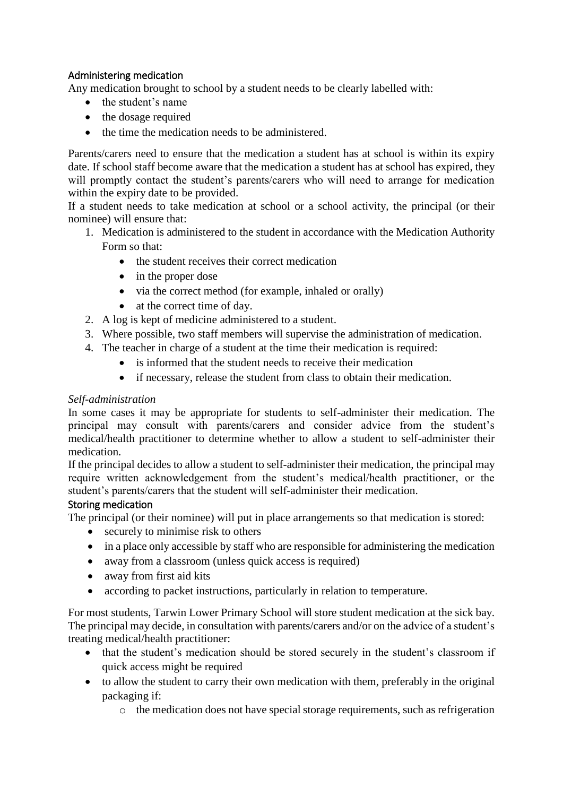## Administering medication

Any medication brought to school by a student needs to be clearly labelled with:

- the student's name
- the dosage required
- the time the medication needs to be administered.

Parents/carers need to ensure that the medication a student has at school is within its expiry date. If school staff become aware that the medication a student has at school has expired, they will promptly contact the student's parents/carers who will need to arrange for medication within the expiry date to be provided.

If a student needs to take medication at school or a school activity, the principal (or their nominee) will ensure that:

- 1. Medication is administered to the student in accordance with the Medication Authority Form so that:
	- the student receives their correct medication
	- in the proper dose
	- via the correct method (for example, inhaled or orally)
	- at the correct time of day.
- 2. A log is kept of medicine administered to a student.
- 3. Where possible, two staff members will supervise the administration of medication.
- 4. The teacher in charge of a student at the time their medication is required:
	- is informed that the student needs to receive their medication
	- if necessary, release the student from class to obtain their medication.

### *Self-administration*

In some cases it may be appropriate for students to self-administer their medication. The principal may consult with parents/carers and consider advice from the student's medical/health practitioner to determine whether to allow a student to self-administer their medication.

If the principal decides to allow a student to self-administer their medication, the principal may require written acknowledgement from the student's medical/health practitioner, or the student's parents/carers that the student will self-administer their medication.

### Storing medication

The principal (or their nominee) will put in place arrangements so that medication is stored:

- securely to minimise risk to others
- in a place only accessible by staff who are responsible for administering the medication
- away from a classroom (unless quick access is required)
- away from first aid kits
- according to packet instructions, particularly in relation to temperature.

For most students, Tarwin Lower Primary School will store student medication at the sick bay. The principal may decide, in consultation with parents/carers and/or on the advice of a student's treating medical/health practitioner:

- that the student's medication should be stored securely in the student's classroom if quick access might be required
- to allow the student to carry their own medication with them, preferably in the original packaging if:
	- o the medication does not have special storage requirements, such as refrigeration